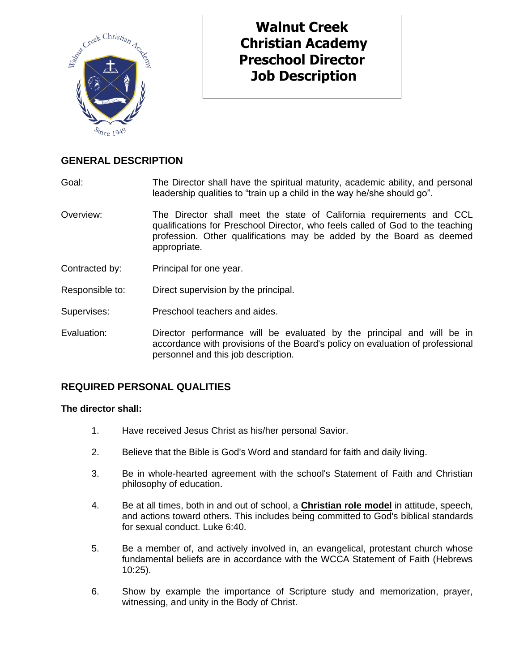

# **Walnut Creek Christian Academy Preschool Director Job Description**

## **GENERAL DESCRIPTION**

Goal: The Director shall have the spiritual maturity, academic ability, and personal leadership qualities to "train up a child in the way he/she should go".

- Overview: The Director shall meet the state of California requirements and CCL qualifications for Preschool Director, who feels called of God to the teaching profession. Other qualifications may be added by the Board as deemed appropriate.
- Contracted by: Principal for one year.
- Responsible to: Direct supervision by the principal.
- Supervises: Preschool teachers and aides.
- Evaluation: Director performance will be evaluated by the principal and will be in accordance with provisions of the Board's policy on evaluation of professional personnel and this job description.

## **REQUIRED PERSONAL QUALITIES**

#### **The director shall:**

- 1. Have received Jesus Christ as his/her personal Savior.
- 2. Believe that the Bible is God's Word and standard for faith and daily living.
- 3. Be in whole-hearted agreement with the school's Statement of Faith and Christian philosophy of education.
- 4. Be at all times, both in and out of school, a **Christian role model** in attitude, speech, and actions toward others. This includes being committed to God's biblical standards for sexual conduct. Luke 6:40.
- 5. Be a member of, and actively involved in, an evangelical, protestant church whose fundamental beliefs are in accordance with the WCCA Statement of Faith (Hebrews 10:25).
- 6. Show by example the importance of Scripture study and memorization, prayer, witnessing, and unity in the Body of Christ.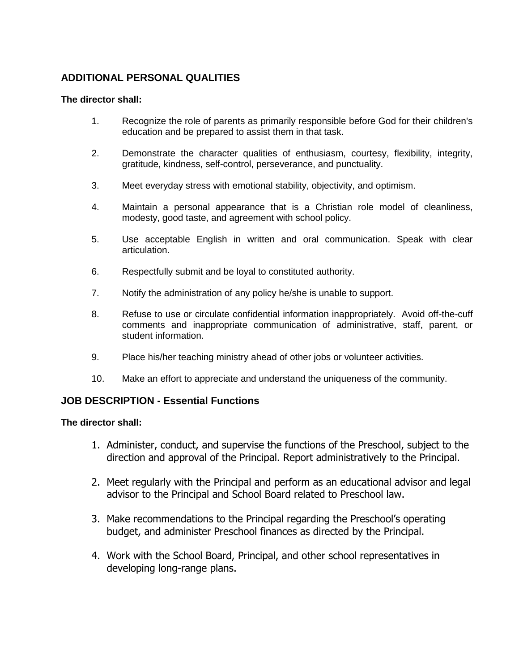## **ADDITIONAL PERSONAL QUALITIES**

### **The director shall:**

- 1. Recognize the role of parents as primarily responsible before God for their children's education and be prepared to assist them in that task.
- 2. Demonstrate the character qualities of enthusiasm, courtesy, flexibility, integrity, gratitude, kindness, self-control, perseverance, and punctuality.
- 3. Meet everyday stress with emotional stability, objectivity, and optimism.
- 4. Maintain a personal appearance that is a Christian role model of cleanliness, modesty, good taste, and agreement with school policy.
- 5. Use acceptable English in written and oral communication. Speak with clear articulation.
- 6. Respectfully submit and be loyal to constituted authority.
- 7. Notify the administration of any policy he/she is unable to support.
- 8. Refuse to use or circulate confidential information inappropriately. Avoid off-the-cuff comments and inappropriate communication of administrative, staff, parent, or student information.
- 9. Place his/her teaching ministry ahead of other jobs or volunteer activities.
- 10. Make an effort to appreciate and understand the uniqueness of the community.

## **JOB DESCRIPTION - Essential Functions**

### **The director shall:**

- 1. Administer, conduct, and supervise the functions of the Preschool, subject to the direction and approval of the Principal. Report administratively to the Principal.
- 2. Meet regularly with the Principal and perform as an educational advisor and legal advisor to the Principal and School Board related to Preschool law.
- 3. Make recommendations to the Principal regarding the Preschool's operating budget, and administer Preschool finances as directed by the Principal.
- 4. Work with the School Board, Principal, and other school representatives in developing long-range plans.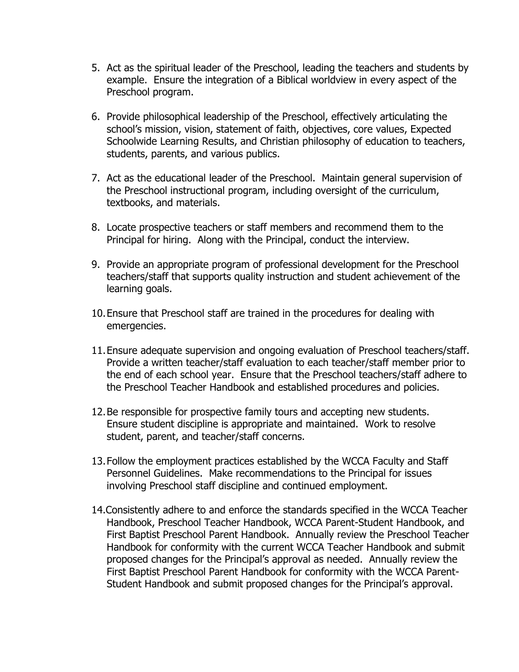- 5. Act as the spiritual leader of the Preschool, leading the teachers and students by example. Ensure the integration of a Biblical worldview in every aspect of the Preschool program.
- 6. Provide philosophical leadership of the Preschool, effectively articulating the school's mission, vision, statement of faith, objectives, core values, Expected Schoolwide Learning Results, and Christian philosophy of education to teachers, students, parents, and various publics.
- 7. Act as the educational leader of the Preschool. Maintain general supervision of the Preschool instructional program, including oversight of the curriculum, textbooks, and materials.
- 8. Locate prospective teachers or staff members and recommend them to the Principal for hiring. Along with the Principal, conduct the interview.
- 9. Provide an appropriate program of professional development for the Preschool teachers/staff that supports quality instruction and student achievement of the learning goals.
- 10.Ensure that Preschool staff are trained in the procedures for dealing with emergencies.
- 11.Ensure adequate supervision and ongoing evaluation of Preschool teachers/staff. Provide a written teacher/staff evaluation to each teacher/staff member prior to the end of each school year. Ensure that the Preschool teachers/staff adhere to the Preschool Teacher Handbook and established procedures and policies.
- 12.Be responsible for prospective family tours and accepting new students. Ensure student discipline is appropriate and maintained. Work to resolve student, parent, and teacher/staff concerns.
- 13.Follow the employment practices established by the WCCA Faculty and Staff Personnel Guidelines. Make recommendations to the Principal for issues involving Preschool staff discipline and continued employment.
- 14.Consistently adhere to and enforce the standards specified in the WCCA Teacher Handbook, Preschool Teacher Handbook, WCCA Parent-Student Handbook, and First Baptist Preschool Parent Handbook. Annually review the Preschool Teacher Handbook for conformity with the current WCCA Teacher Handbook and submit proposed changes for the Principal's approval as needed. Annually review the First Baptist Preschool Parent Handbook for conformity with the WCCA Parent-Student Handbook and submit proposed changes for the Principal's approval.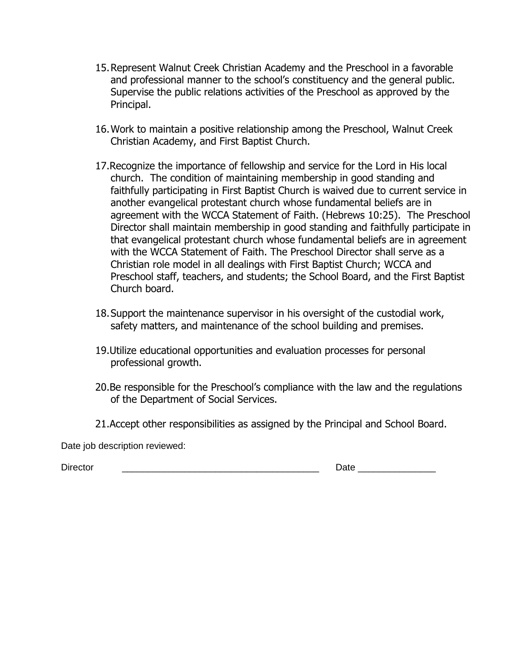- 15.Represent Walnut Creek Christian Academy and the Preschool in a favorable and professional manner to the school's constituency and the general public. Supervise the public relations activities of the Preschool as approved by the Principal.
- 16.Work to maintain a positive relationship among the Preschool, Walnut Creek Christian Academy, and First Baptist Church.
- 17.Recognize the importance of fellowship and service for the Lord in His local church. The condition of maintaining membership in good standing and faithfully participating in First Baptist Church is waived due to current service in another evangelical protestant church whose fundamental beliefs are in agreement with the WCCA Statement of Faith. (Hebrews 10:25). The Preschool Director shall maintain membership in good standing and faithfully participate in that evangelical protestant church whose fundamental beliefs are in agreement with the WCCA Statement of Faith. The Preschool Director shall serve as a Christian role model in all dealings with First Baptist Church; WCCA and Preschool staff, teachers, and students; the School Board, and the First Baptist Church board.
- 18.Support the maintenance supervisor in his oversight of the custodial work, safety matters, and maintenance of the school building and premises.
- 19.Utilize educational opportunities and evaluation processes for personal professional growth.
- 20.Be responsible for the Preschool's compliance with the law and the regulations of the Department of Social Services.
- 21.Accept other responsibilities as assigned by the Principal and School Board.

Date job description reviewed:

Director \_\_\_\_\_\_\_\_\_\_\_\_\_\_\_\_\_\_\_\_\_\_\_\_\_\_\_\_\_\_\_\_\_\_\_\_\_\_ Date \_\_\_\_\_\_\_\_\_\_\_\_\_\_\_